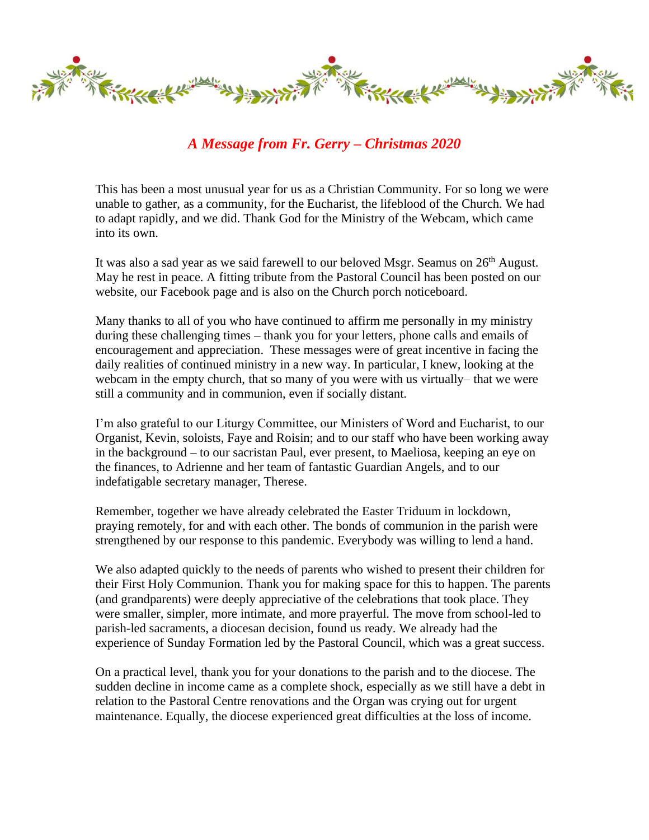

*A Message from Fr. Gerry – Christmas 2020*

This has been a most unusual year for us as a Christian Community. For so long we were unable to gather, as a community, for the Eucharist, the lifeblood of the Church. We had to adapt rapidly, and we did. Thank God for the Ministry of the Webcam, which came into its own.

It was also a sad year as we said farewell to our beloved Msgr. Seamus on 26<sup>th</sup> August. May he rest in peace. A fitting tribute from the Pastoral Council has been posted on our website, our Facebook page and is also on the Church porch noticeboard.

Many thanks to all of you who have continued to affirm me personally in my ministry during these challenging times – thank you for your letters, phone calls and emails of encouragement and appreciation. These messages were of great incentive in facing the daily realities of continued ministry in a new way. In particular, I knew, looking at the webcam in the empty church, that so many of you were with us virtually– that we were still a community and in communion, even if socially distant.

I'm also grateful to our Liturgy Committee, our Ministers of Word and Eucharist, to our Organist, Kevin, soloists, Faye and Roisin; and to our staff who have been working away in the background – to our sacristan Paul, ever present, to Maeliosa, keeping an eye on the finances, to Adrienne and her team of fantastic Guardian Angels, and to our indefatigable secretary manager, Therese.

Remember, together we have already celebrated the Easter Triduum in lockdown, praying remotely, for and with each other. The bonds of communion in the parish were strengthened by our response to this pandemic. Everybody was willing to lend a hand.

We also adapted quickly to the needs of parents who wished to present their children for their First Holy Communion. Thank you for making space for this to happen. The parents (and grandparents) were deeply appreciative of the celebrations that took place. They were smaller, simpler, more intimate, and more prayerful. The move from school-led to parish-led sacraments, a diocesan decision, found us ready. We already had the experience of Sunday Formation led by the Pastoral Council, which was a great success.

On a practical level, thank you for your donations to the parish and to the diocese. The sudden decline in income came as a complete shock, especially as we still have a debt in relation to the Pastoral Centre renovations and the Organ was crying out for urgent maintenance. Equally, the diocese experienced great difficulties at the loss of income.